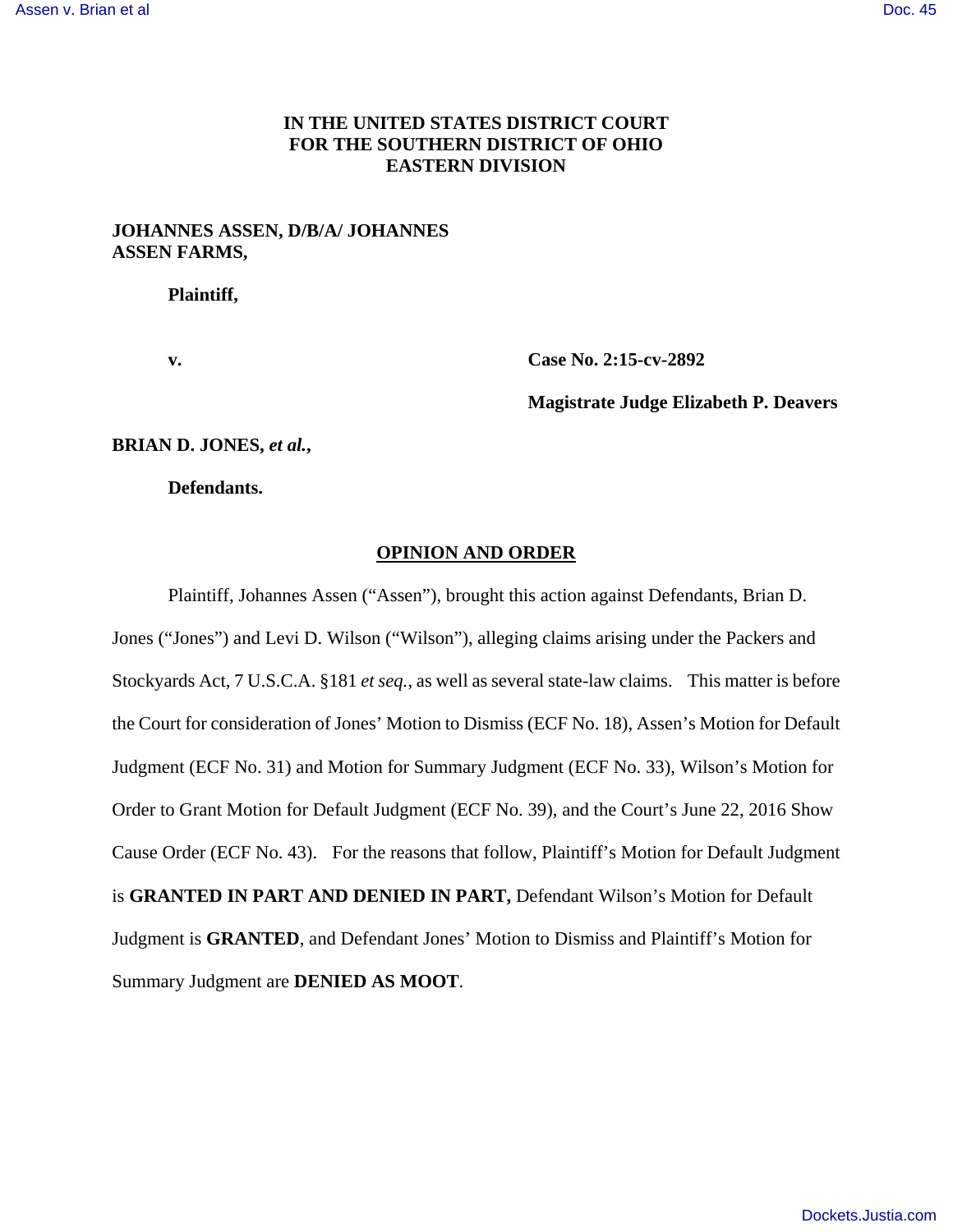# **IN THE UNITED STATES DISTRICT COURT FOR THE SOUTHERN DISTRICT OF OHIO EASTERN DIVISION**

# **JOHANNES ASSEN, D/B/A/ JOHANNES ASSEN FARMS,**

**Plaintiff,** 

**v. Case No. 2:15-cv-2892** 

 **Magistrate Judge Elizabeth P. Deavers** 

**BRIAN D. JONES,** *et al.***,** 

**Defendants.** 

#### **OPINION AND ORDER**

 Plaintiff, Johannes Assen ("Assen"), brought this action against Defendants, Brian D. Jones ("Jones") and Levi D. Wilson ("Wilson"), alleging claims arising under the Packers and Stockyards Act, 7 U.S.C.A. §181 *et seq.*, as well as several state-law claims. This matter is before the Court for consideration of Jones' Motion to Dismiss (ECF No. 18), Assen's Motion for Default Judgment (ECF No. 31) and Motion for Summary Judgment (ECF No. 33), Wilson's Motion for Order to Grant Motion for Default Judgment (ECF No. 39), and the Court's June 22, 2016 Show Cause Order (ECF No. 43). For the reasons that follow, Plaintiff's Motion for Default Judgment is **GRANTED IN PART AND DENIED IN PART,** Defendant Wilson's Motion for Default Judgment is **GRANTED**, and Defendant Jones' Motion to Dismiss and Plaintiff's Motion for Summary Judgment are **DENIED AS MOOT**.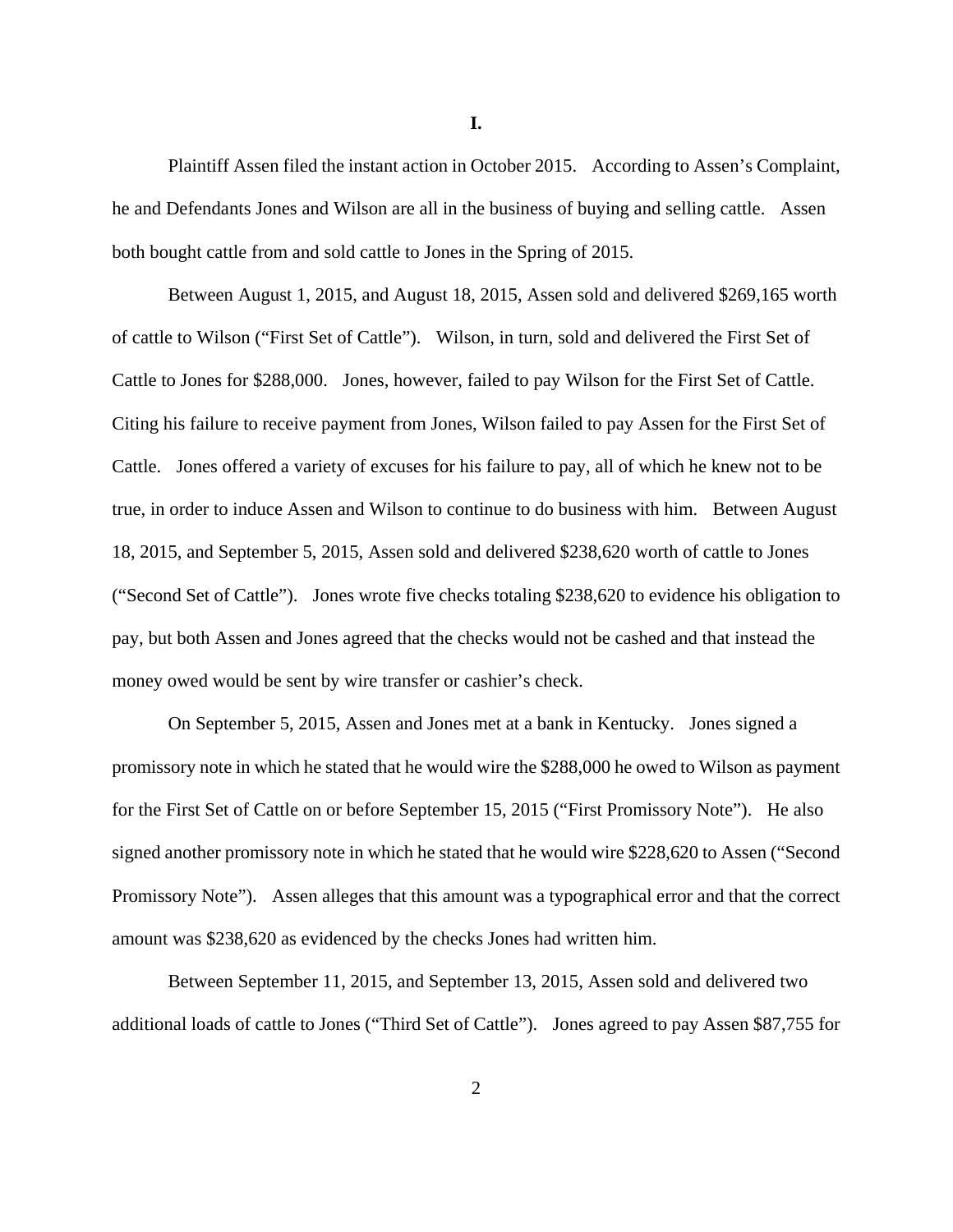Plaintiff Assen filed the instant action in October 2015. According to Assen's Complaint, he and Defendants Jones and Wilson are all in the business of buying and selling cattle. Assen both bought cattle from and sold cattle to Jones in the Spring of 2015.

Between August 1, 2015, and August 18, 2015, Assen sold and delivered \$269,165 worth of cattle to Wilson ("First Set of Cattle"). Wilson, in turn, sold and delivered the First Set of Cattle to Jones for \$288,000. Jones, however, failed to pay Wilson for the First Set of Cattle. Citing his failure to receive payment from Jones, Wilson failed to pay Assen for the First Set of Cattle. Jones offered a variety of excuses for his failure to pay, all of which he knew not to be true, in order to induce Assen and Wilson to continue to do business with him. Between August 18, 2015, and September 5, 2015, Assen sold and delivered \$238,620 worth of cattle to Jones ("Second Set of Cattle"). Jones wrote five checks totaling \$238,620 to evidence his obligation to pay, but both Assen and Jones agreed that the checks would not be cashed and that instead the money owed would be sent by wire transfer or cashier's check.

On September 5, 2015, Assen and Jones met at a bank in Kentucky. Jones signed a promissory note in which he stated that he would wire the \$288,000 he owed to Wilson as payment for the First Set of Cattle on or before September 15, 2015 ("First Promissory Note"). He also signed another promissory note in which he stated that he would wire \$228,620 to Assen ("Second Promissory Note"). Assen alleges that this amount was a typographical error and that the correct amount was \$238,620 as evidenced by the checks Jones had written him.

Between September 11, 2015, and September 13, 2015, Assen sold and delivered two additional loads of cattle to Jones ("Third Set of Cattle"). Jones agreed to pay Assen \$87,755 for

**I.** 

2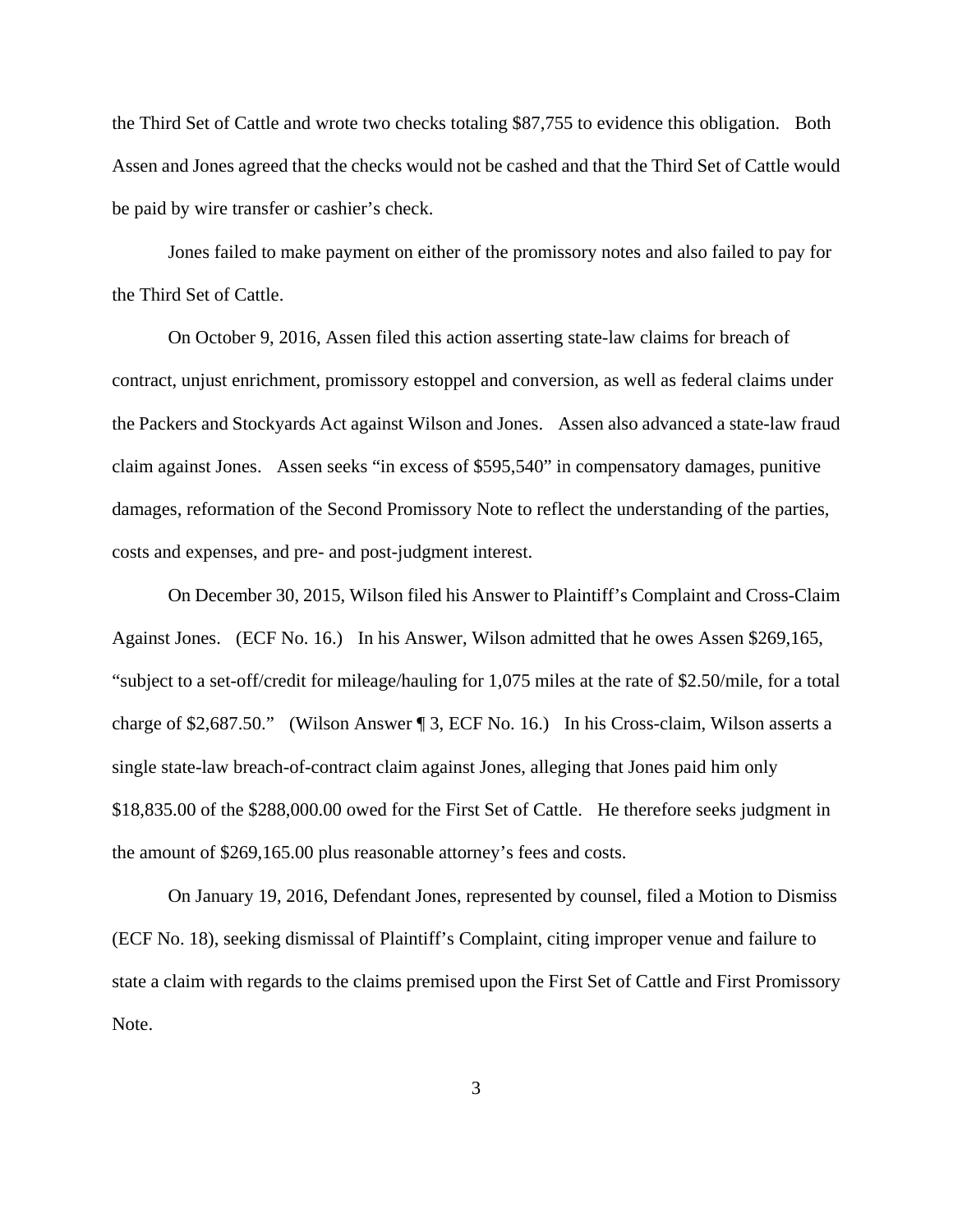the Third Set of Cattle and wrote two checks totaling \$87,755 to evidence this obligation. Both Assen and Jones agreed that the checks would not be cashed and that the Third Set of Cattle would be paid by wire transfer or cashier's check.

Jones failed to make payment on either of the promissory notes and also failed to pay for the Third Set of Cattle.

On October 9, 2016, Assen filed this action asserting state-law claims for breach of contract, unjust enrichment, promissory estoppel and conversion, as well as federal claims under the Packers and Stockyards Act against Wilson and Jones. Assen also advanced a state-law fraud claim against Jones. Assen seeks "in excess of \$595,540" in compensatory damages, punitive damages, reformation of the Second Promissory Note to reflect the understanding of the parties, costs and expenses, and pre- and post-judgment interest.

On December 30, 2015, Wilson filed his Answer to Plaintiff's Complaint and Cross-Claim Against Jones. (ECF No. 16.) In his Answer, Wilson admitted that he owes Assen \$269,165, "subject to a set-off/credit for mileage/hauling for 1,075 miles at the rate of \$2.50/mile, for a total charge of \$2,687.50." (Wilson Answer ¶ 3, ECF No. 16.) In his Cross-claim, Wilson asserts a single state-law breach-of-contract claim against Jones, alleging that Jones paid him only \$18,835.00 of the \$288,000.00 owed for the First Set of Cattle. He therefore seeks judgment in the amount of \$269,165.00 plus reasonable attorney's fees and costs.

On January 19, 2016, Defendant Jones, represented by counsel, filed a Motion to Dismiss (ECF No. 18), seeking dismissal of Plaintiff's Complaint, citing improper venue and failure to state a claim with regards to the claims premised upon the First Set of Cattle and First Promissory Note.

3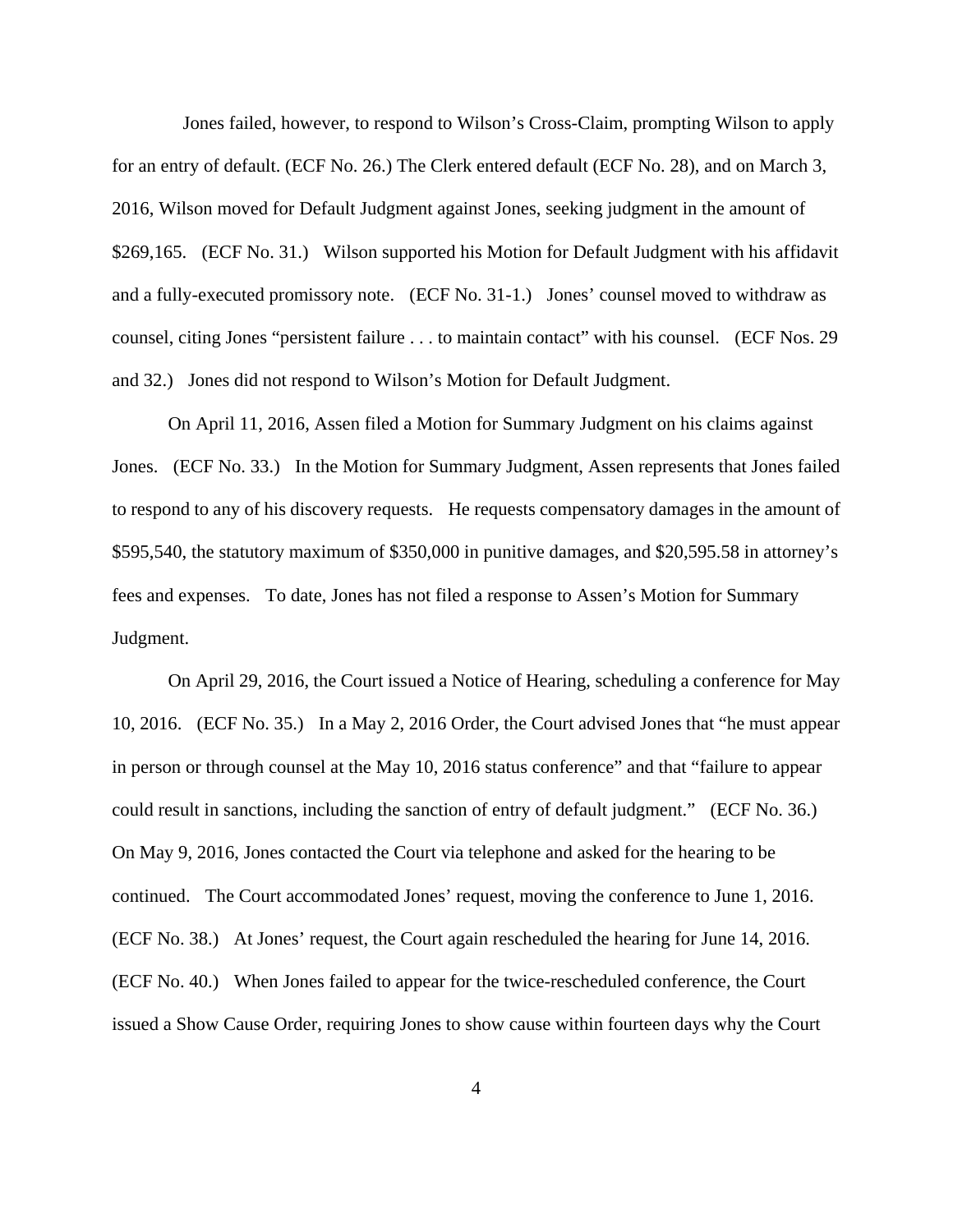Jones failed, however, to respond to Wilson's Cross-Claim, prompting Wilson to apply for an entry of default. (ECF No. 26.) The Clerk entered default (ECF No. 28), and on March 3, 2016, Wilson moved for Default Judgment against Jones, seeking judgment in the amount of \$269,165. (ECF No. 31.) Wilson supported his Motion for Default Judgment with his affidavit and a fully-executed promissory note. (ECF No. 31-1.) Jones' counsel moved to withdraw as counsel, citing Jones "persistent failure . . . to maintain contact" with his counsel. (ECF Nos. 29 and 32.) Jones did not respond to Wilson's Motion for Default Judgment.

On April 11, 2016, Assen filed a Motion for Summary Judgment on his claims against Jones. (ECF No. 33.) In the Motion for Summary Judgment, Assen represents that Jones failed to respond to any of his discovery requests. He requests compensatory damages in the amount of \$595,540, the statutory maximum of \$350,000 in punitive damages, and \$20,595.58 in attorney's fees and expenses. To date, Jones has not filed a response to Assen's Motion for Summary Judgment.

On April 29, 2016, the Court issued a Notice of Hearing, scheduling a conference for May 10, 2016. (ECF No. 35.) In a May 2, 2016 Order, the Court advised Jones that "he must appear in person or through counsel at the May 10, 2016 status conference" and that "failure to appear could result in sanctions, including the sanction of entry of default judgment." (ECF No. 36.) On May 9, 2016, Jones contacted the Court via telephone and asked for the hearing to be continued. The Court accommodated Jones' request, moving the conference to June 1, 2016. (ECF No. 38.) At Jones' request, the Court again rescheduled the hearing for June 14, 2016. (ECF No. 40.) When Jones failed to appear for the twice-rescheduled conference, the Court issued a Show Cause Order, requiring Jones to show cause within fourteen days why the Court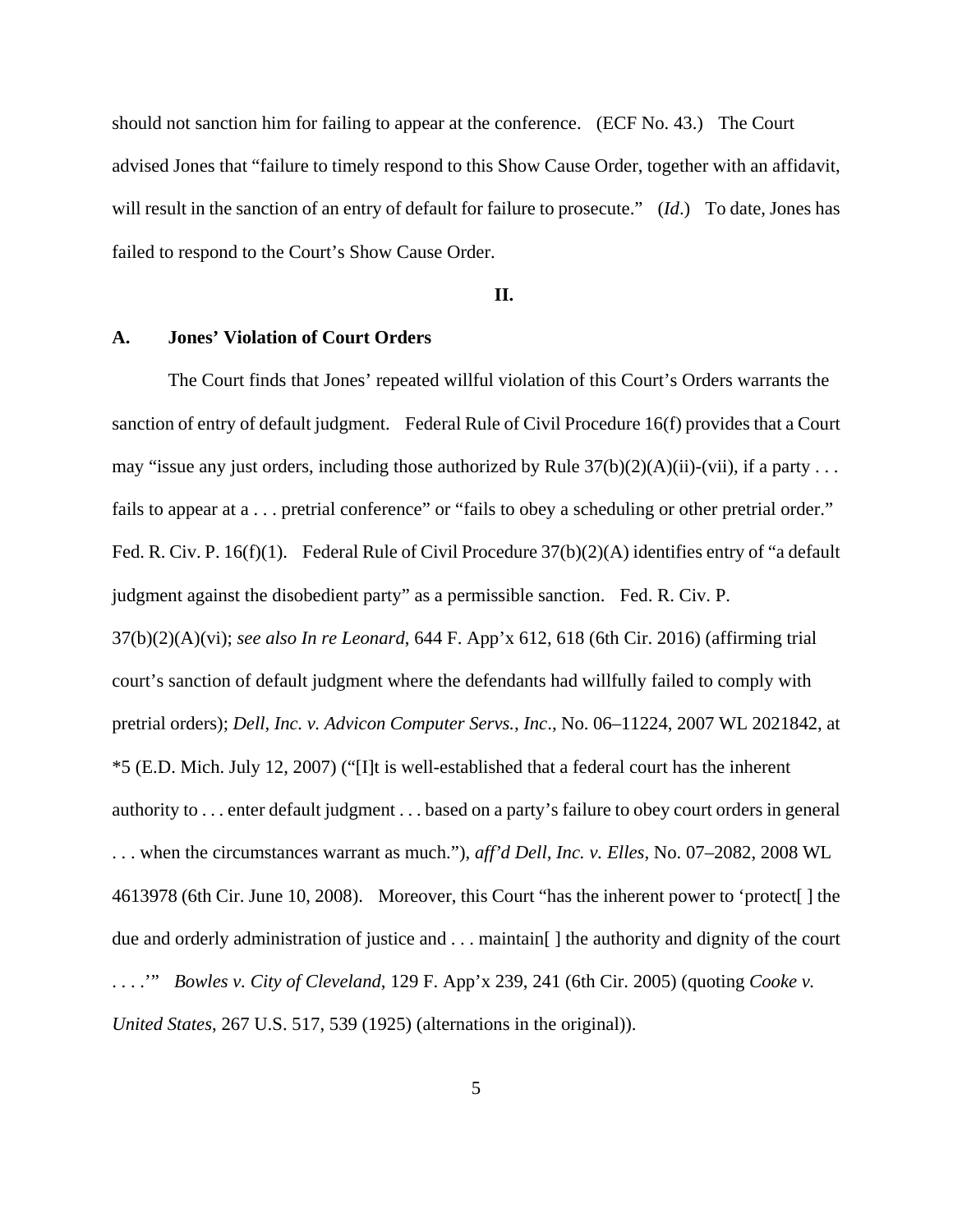should not sanction him for failing to appear at the conference. (ECF No. 43.) The Court advised Jones that "failure to timely respond to this Show Cause Order, together with an affidavit, will result in the sanction of an entry of default for failure to prosecute." (*Id*.) To date, Jones has failed to respond to the Court's Show Cause Order.

# **II.**

## **A. Jones' Violation of Court Orders**

The Court finds that Jones' repeated willful violation of this Court's Orders warrants the sanction of entry of default judgment. Federal Rule of Civil Procedure 16(f) provides that a Court may "issue any just orders, including those authorized by Rule  $37(b)(2)(A)(ii)$ -(vii), if a party ... fails to appear at a . . . pretrial conference" or "fails to obey a scheduling or other pretrial order." Fed. R. Civ. P. 16(f)(1). Federal Rule of Civil Procedure  $37(b)(2)(A)$  identifies entry of "a default" judgment against the disobedient party" as a permissible sanction. Fed. R. Civ. P. 37(b)(2)(A)(vi); *see also In re Leonard*, 644 F. App'x 612, 618 (6th Cir. 2016) (affirming trial court's sanction of default judgment where the defendants had willfully failed to comply with pretrial orders); *Dell, Inc. v. Advicon Computer Servs., Inc*., No. 06–11224, 2007 WL 2021842, at \*5 (E.D. Mich. July 12, 2007) ("[I]t is well-established that a federal court has the inherent authority to . . . enter default judgment . . . based on a party's failure to obey court orders in general . . . when the circumstances warrant as much."), *aff'd Dell, Inc. v. Elles*, No. 07–2082, 2008 WL 4613978 (6th Cir. June 10, 2008). Moreover, this Court "has the inherent power to 'protect[ ] the due and orderly administration of justice and . . . maintain[ ] the authority and dignity of the court . . . .'" *Bowles v. City of Cleveland*, 129 F. App'x 239, 241 (6th Cir. 2005) (quoting *Cooke v. United States*, 267 U.S. 517, 539 (1925) (alternations in the original)).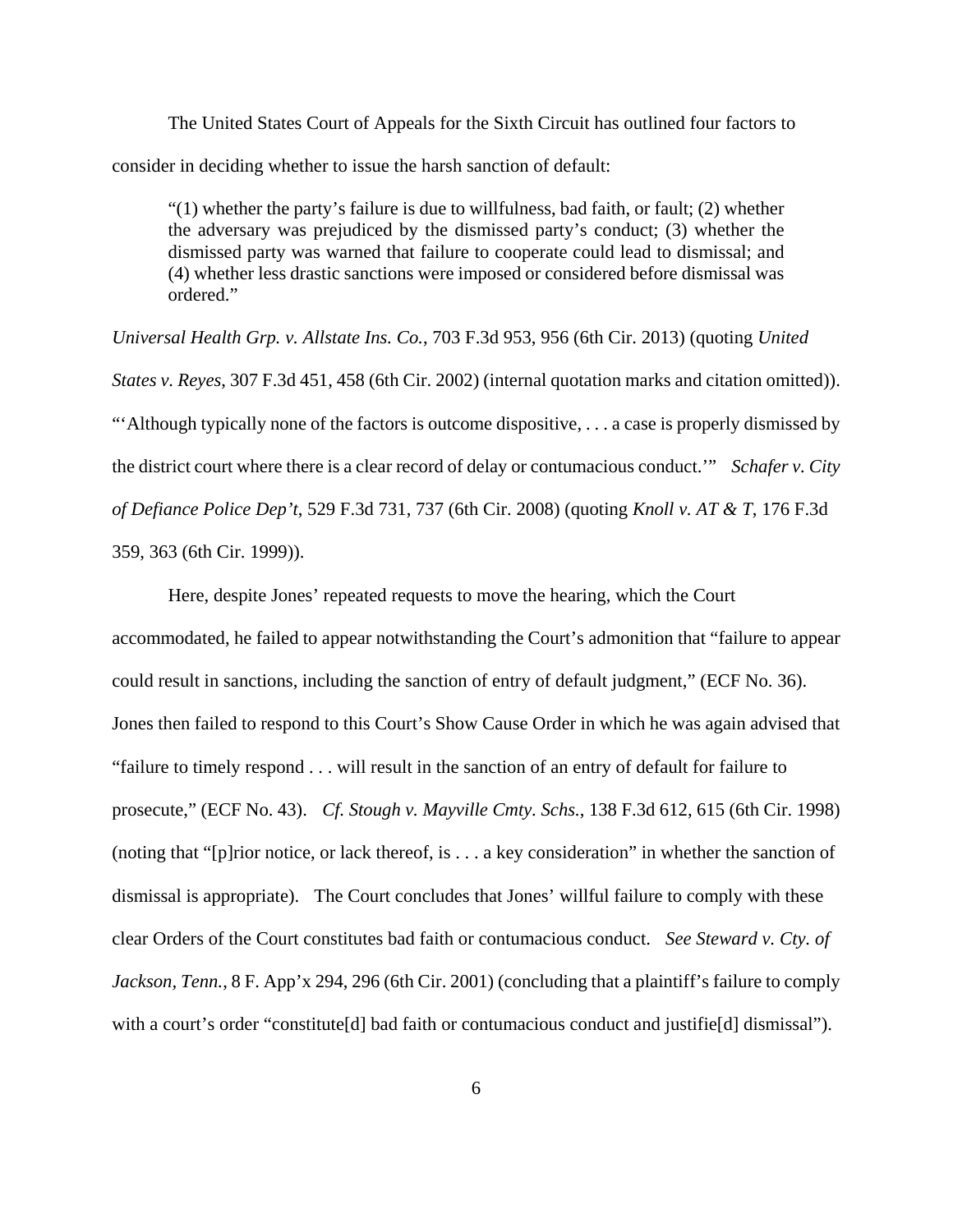The United States Court of Appeals for the Sixth Circuit has outlined four factors to consider in deciding whether to issue the harsh sanction of default:

 $(1)$  whether the party's failure is due to willfulness, bad faith, or fault; (2) whether the adversary was prejudiced by the dismissed party's conduct; (3) whether the dismissed party was warned that failure to cooperate could lead to dismissal; and (4) whether less drastic sanctions were imposed or considered before dismissal was ordered."

*Universal Health Grp. v. Allstate Ins. Co.*, 703 F.3d 953, 956 (6th Cir. 2013) (quoting *United States v. Reyes*, 307 F.3d 451, 458 (6th Cir. 2002) (internal quotation marks and citation omitted)). "'Although typically none of the factors is outcome dispositive, . . . a case is properly dismissed by the district court where there is a clear record of delay or contumacious conduct.'" *Schafer v. City of Defiance Police Dep't*, 529 F.3d 731, 737 (6th Cir. 2008) (quoting *Knoll v. AT & T*, 176 F.3d 359, 363 (6th Cir. 1999)).

Here, despite Jones' repeated requests to move the hearing, which the Court accommodated, he failed to appear notwithstanding the Court's admonition that "failure to appear could result in sanctions, including the sanction of entry of default judgment," (ECF No. 36). Jones then failed to respond to this Court's Show Cause Order in which he was again advised that "failure to timely respond . . . will result in the sanction of an entry of default for failure to prosecute," (ECF No. 43). *Cf. Stough v. Mayville Cmty. Schs.*, 138 F.3d 612, 615 (6th Cir. 1998) (noting that "[p]rior notice, or lack thereof, is . . . a key consideration" in whether the sanction of dismissal is appropriate). The Court concludes that Jones' willful failure to comply with these clear Orders of the Court constitutes bad faith or contumacious conduct. *See Steward v. Cty. of Jackson, Tenn.*, 8 F. App'x 294, 296 (6th Cir. 2001) (concluding that a plaintiff's failure to comply with a court's order "constitute<sup>[d]</sup> bad faith or contumacious conduct and justifie<sup>[d]</sup> dismissal").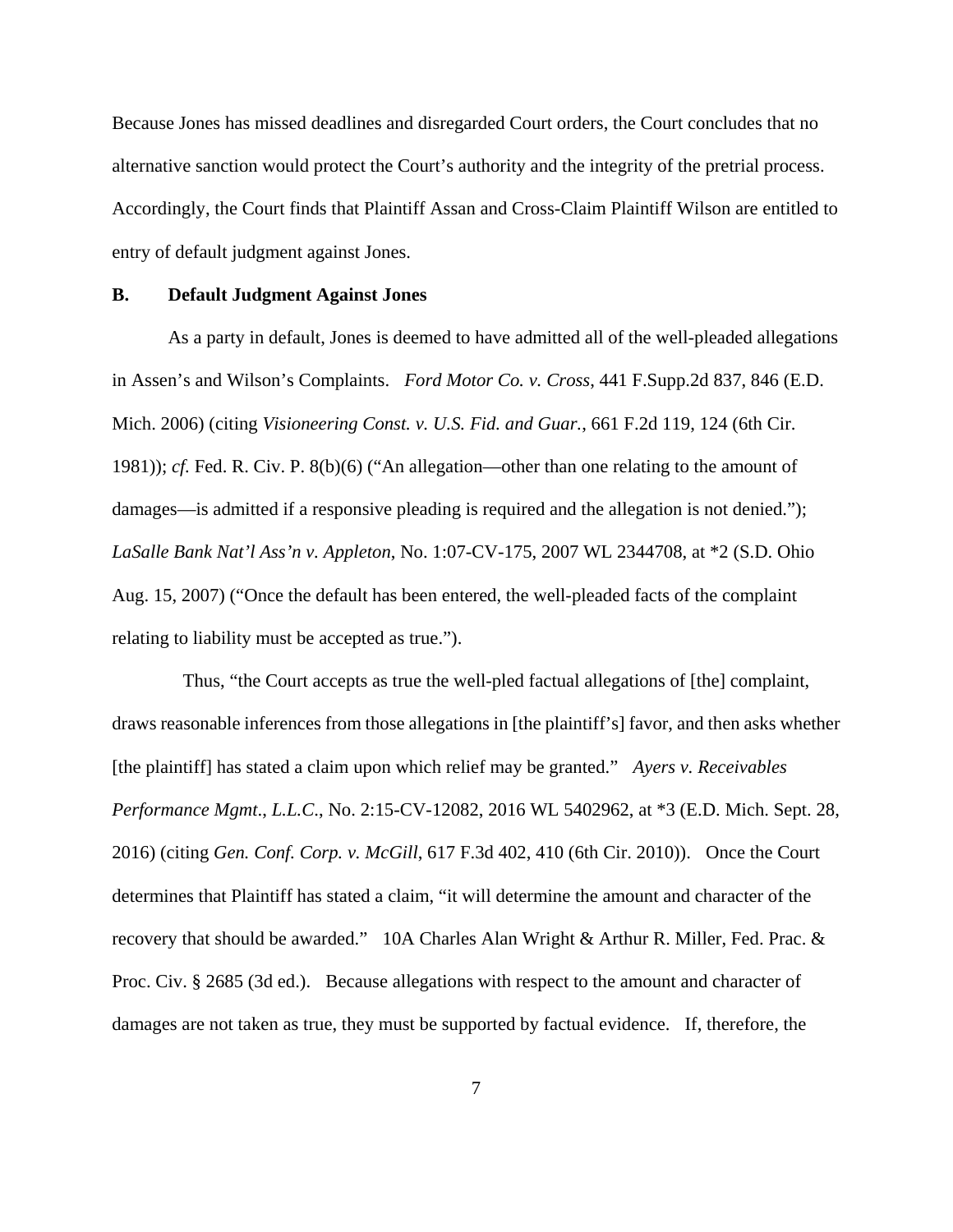Because Jones has missed deadlines and disregarded Court orders, the Court concludes that no alternative sanction would protect the Court's authority and the integrity of the pretrial process. Accordingly, the Court finds that Plaintiff Assan and Cross-Claim Plaintiff Wilson are entitled to entry of default judgment against Jones.

## **B. Default Judgment Against Jones**

As a party in default, Jones is deemed to have admitted all of the well-pleaded allegations in Assen's and Wilson's Complaints. *Ford Motor Co. v. Cross*, 441 F.Supp.2d 837, 846 (E.D. Mich. 2006) (citing *Visioneering Const. v. U.S. Fid. and Guar.*, 661 F.2d 119, 124 (6th Cir. 1981)); *cf.* Fed. R. Civ. P. 8(b)(6) ("An allegation—other than one relating to the amount of damages—is admitted if a responsive pleading is required and the allegation is not denied."); *LaSalle Bank Nat'l Ass'n v. Appleton*, No. 1:07-CV-175, 2007 WL 2344708, at \*2 (S.D. Ohio Aug. 15, 2007) ("Once the default has been entered, the well-pleaded facts of the complaint relating to liability must be accepted as true.").

 Thus, "the Court accepts as true the well-pled factual allegations of [the] complaint, draws reasonable inferences from those allegations in [the plaintiff's] favor, and then asks whether [the plaintiff] has stated a claim upon which relief may be granted." *Ayers v. Receivables Performance Mgmt*., *L.L.C*., No. 2:15-CV-12082, 2016 WL 5402962, at \*3 (E.D. Mich. Sept. 28, 2016) (citing *Gen. Conf. Corp. v. McGill*, 617 F.3d 402, 410 (6th Cir. 2010)). Once the Court determines that Plaintiff has stated a claim, "it will determine the amount and character of the recovery that should be awarded." 10A Charles Alan Wright & Arthur R. Miller, Fed. Prac. & Proc. Civ. § 2685 (3d ed.). Because allegations with respect to the amount and character of damages are not taken as true, they must be supported by factual evidence. If, therefore, the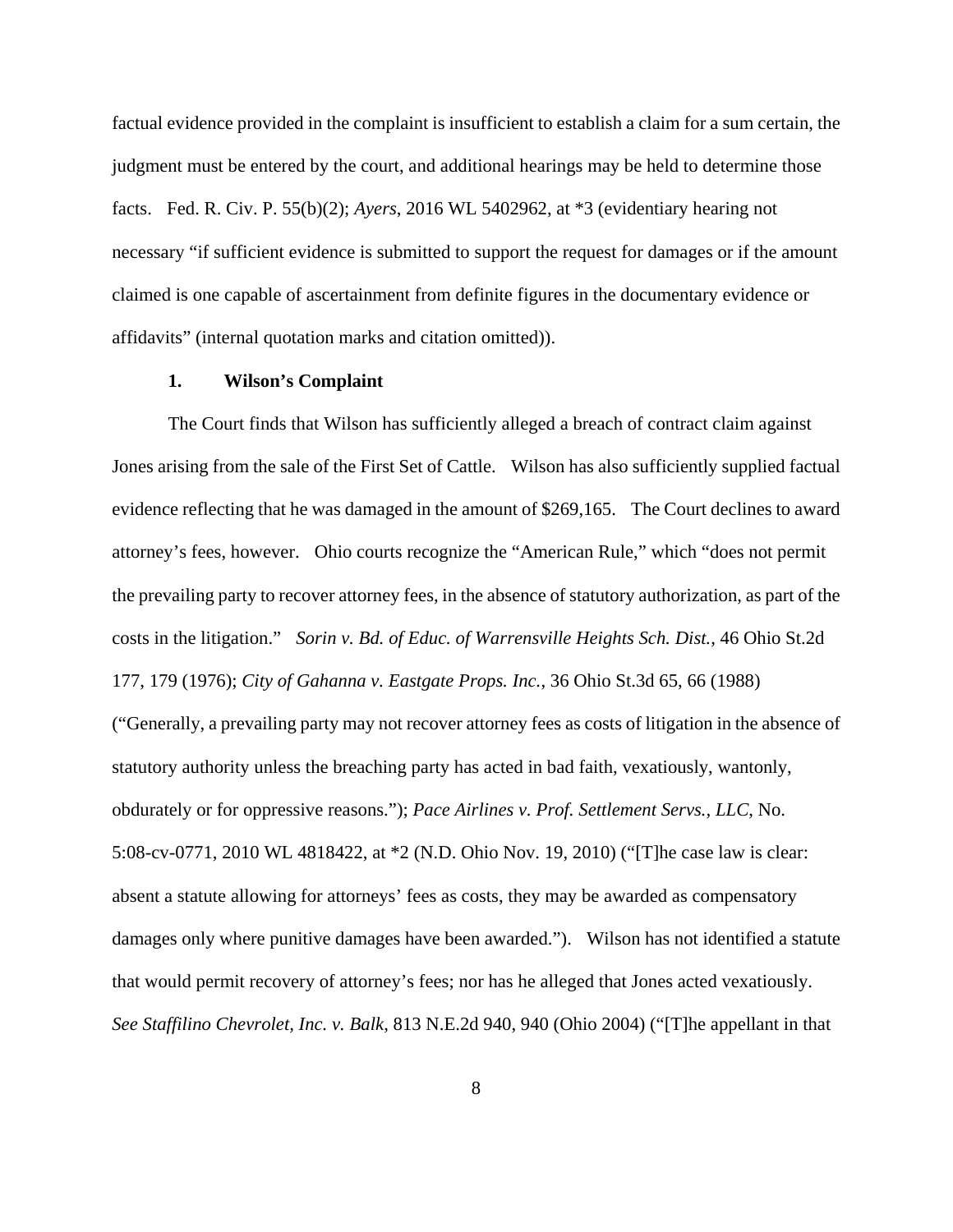factual evidence provided in the complaint is insufficient to establish a claim for a sum certain, the judgment must be entered by the court, and additional hearings may be held to determine those facts. Fed. R. Civ. P. 55(b)(2); *Ayers*, 2016 WL 5402962, at \*3 (evidentiary hearing not necessary "if sufficient evidence is submitted to support the request for damages or if the amount claimed is one capable of ascertainment from definite figures in the documentary evidence or affidavits" (internal quotation marks and citation omitted)).

### **1. Wilson's Complaint**

The Court finds that Wilson has sufficiently alleged a breach of contract claim against Jones arising from the sale of the First Set of Cattle. Wilson has also sufficiently supplied factual evidence reflecting that he was damaged in the amount of \$269,165. The Court declines to award attorney's fees, however. Ohio courts recognize the "American Rule," which "does not permit the prevailing party to recover attorney fees, in the absence of statutory authorization, as part of the costs in the litigation." *Sorin v. Bd. of Educ. of Warrensville Heights Sch. Dist.*, 46 Ohio St.2d 177, 179 (1976); *City of Gahanna v. Eastgate Props. Inc.*, 36 Ohio St.3d 65, 66 (1988) ("Generally, a prevailing party may not recover attorney fees as costs of litigation in the absence of statutory authority unless the breaching party has acted in bad faith, vexatiously, wantonly, obdurately or for oppressive reasons."); *Pace Airlines v. Prof. Settlement Servs., LLC*, No. 5:08-cv-0771, 2010 WL 4818422, at \*2 (N.D. Ohio Nov. 19, 2010) ("[T]he case law is clear: absent a statute allowing for attorneys' fees as costs, they may be awarded as compensatory damages only where punitive damages have been awarded."). Wilson has not identified a statute that would permit recovery of attorney's fees; nor has he alleged that Jones acted vexatiously. *See Staffilino Chevrolet, Inc. v. Balk*, 813 N.E.2d 940, 940 (Ohio 2004) ("[T]he appellant in that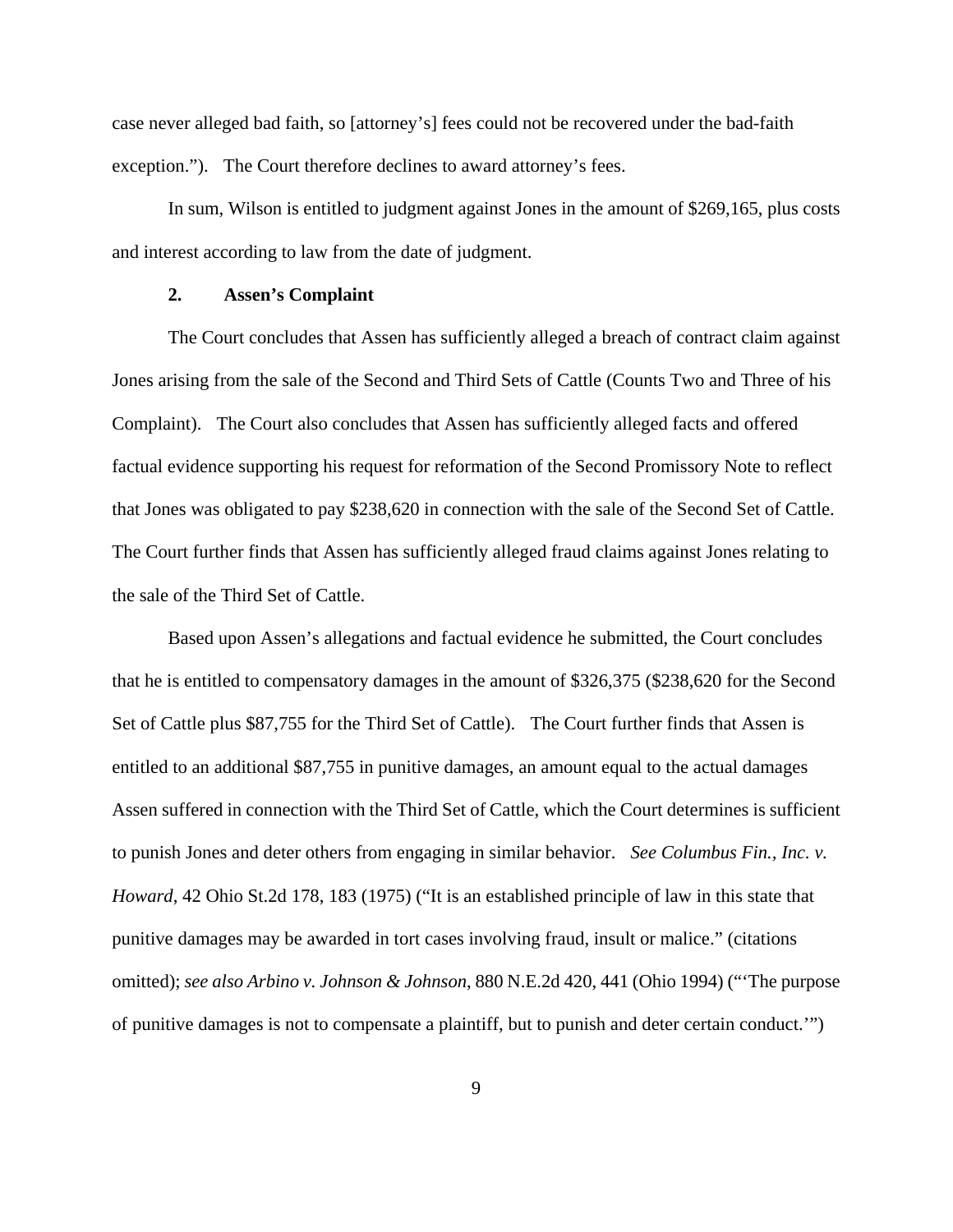case never alleged bad faith, so [attorney's] fees could not be recovered under the bad-faith exception."). The Court therefore declines to award attorney's fees.

 In sum, Wilson is entitled to judgment against Jones in the amount of \$269,165, plus costs and interest according to law from the date of judgment.

## **2. Assen's Complaint**

The Court concludes that Assen has sufficiently alleged a breach of contract claim against Jones arising from the sale of the Second and Third Sets of Cattle (Counts Two and Three of his Complaint). The Court also concludes that Assen has sufficiently alleged facts and offered factual evidence supporting his request for reformation of the Second Promissory Note to reflect that Jones was obligated to pay \$238,620 in connection with the sale of the Second Set of Cattle. The Court further finds that Assen has sufficiently alleged fraud claims against Jones relating to the sale of the Third Set of Cattle.

Based upon Assen's allegations and factual evidence he submitted, the Court concludes that he is entitled to compensatory damages in the amount of \$326,375 (\$238,620 for the Second Set of Cattle plus \$87,755 for the Third Set of Cattle). The Court further finds that Assen is entitled to an additional \$87,755 in punitive damages, an amount equal to the actual damages Assen suffered in connection with the Third Set of Cattle, which the Court determines is sufficient to punish Jones and deter others from engaging in similar behavior. *See Columbus Fin., Inc. v. Howard*, 42 Ohio St.2d 178, 183 (1975) ("It is an established principle of law in this state that punitive damages may be awarded in tort cases involving fraud, insult or malice." (citations omitted); *see also Arbino v. Johnson & Johnson*, 880 N.E.2d 420, 441 (Ohio 1994) ("'The purpose of punitive damages is not to compensate a plaintiff, but to punish and deter certain conduct.'")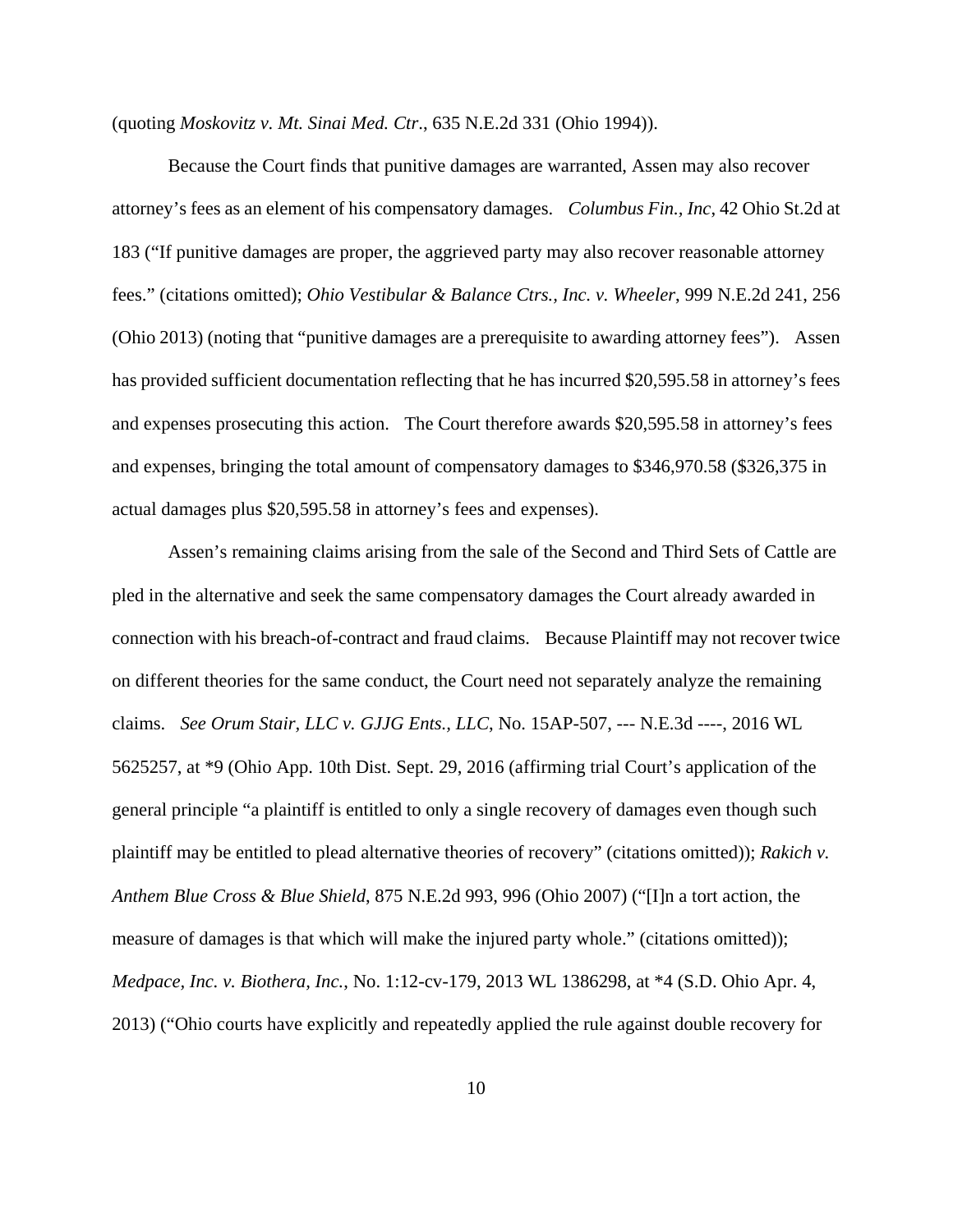(quoting *Moskovitz v. Mt. Sinai Med. Ctr*., 635 N.E.2d 331 (Ohio 1994)).

Because the Court finds that punitive damages are warranted, Assen may also recover attorney's fees as an element of his compensatory damages. *Columbus Fin., Inc*, 42 Ohio St.2d at 183 ("If punitive damages are proper, the aggrieved party may also recover reasonable attorney fees." (citations omitted); *Ohio Vestibular & Balance Ctrs., Inc. v. Wheeler*, 999 N.E.2d 241, 256 (Ohio 2013) (noting that "punitive damages are a prerequisite to awarding attorney fees"). Assen has provided sufficient documentation reflecting that he has incurred \$20,595.58 in attorney's fees and expenses prosecuting this action. The Court therefore awards \$20,595.58 in attorney's fees and expenses, bringing the total amount of compensatory damages to \$346,970.58 (\$326,375 in actual damages plus \$20,595.58 in attorney's fees and expenses).

Assen's remaining claims arising from the sale of the Second and Third Sets of Cattle are pled in the alternative and seek the same compensatory damages the Court already awarded in connection with his breach-of-contract and fraud claims. Because Plaintiff may not recover twice on different theories for the same conduct, the Court need not separately analyze the remaining claims. *See Orum Stair, LLC v. GJJG Ents., LLC*, No. 15AP-507, --- N.E.3d ----, 2016 WL 5625257, at \*9 (Ohio App. 10th Dist. Sept. 29, 2016 (affirming trial Court's application of the general principle "a plaintiff is entitled to only a single recovery of damages even though such plaintiff may be entitled to plead alternative theories of recovery" (citations omitted)); *Rakich v. Anthem Blue Cross & Blue Shield*, 875 N.E.2d 993, 996 (Ohio 2007) ("[I]n a tort action, the measure of damages is that which will make the injured party whole." (citations omitted)); *Medpace, Inc. v. Biothera, Inc.*, No. 1:12-cv-179, 2013 WL 1386298, at \*4 (S.D. Ohio Apr. 4, 2013) ("Ohio courts have explicitly and repeatedly applied the rule against double recovery for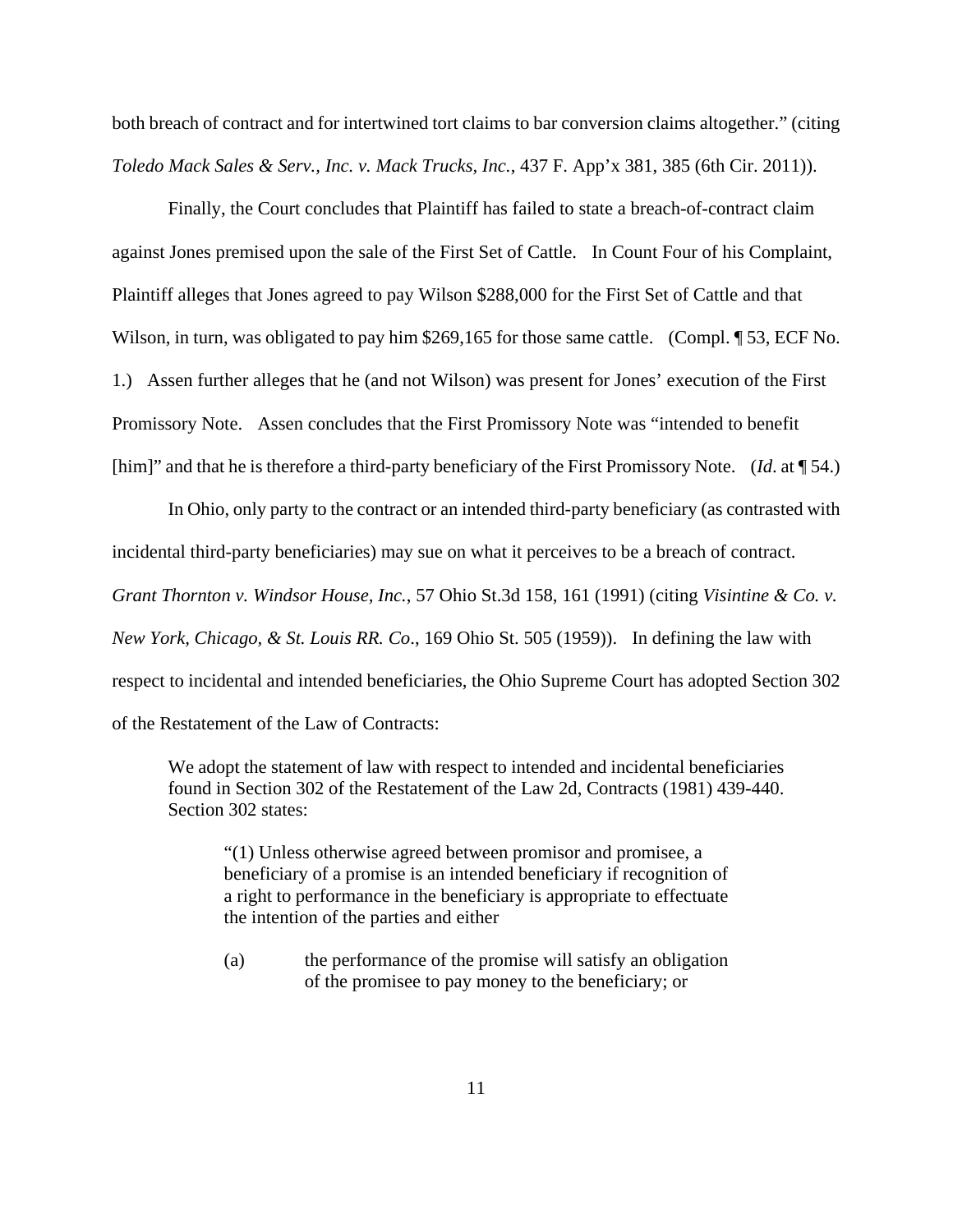both breach of contract and for intertwined tort claims to bar conversion claims altogether." (citing *Toledo Mack Sales & Serv., Inc. v. Mack Trucks, Inc.*, 437 F. App'x 381, 385 (6th Cir. 2011)).

Finally, the Court concludes that Plaintiff has failed to state a breach-of-contract claim against Jones premised upon the sale of the First Set of Cattle. In Count Four of his Complaint, Plaintiff alleges that Jones agreed to pay Wilson \$288,000 for the First Set of Cattle and that Wilson, in turn, was obligated to pay him \$269,165 for those same cattle. (Compl. 153, ECF No. 1.) Assen further alleges that he (and not Wilson) was present for Jones' execution of the First Promissory Note. Assen concludes that the First Promissory Note was "intended to benefit [him]" and that he is therefore a third-party beneficiary of the First Promissory Note. (*Id*. at ¶ 54.)

In Ohio, only party to the contract or an intended third-party beneficiary (as contrasted with incidental third-party beneficiaries) may sue on what it perceives to be a breach of contract. *Grant Thornton v. Windsor House, Inc.*, 57 Ohio St.3d 158, 161 (1991) (citing *Visintine & Co. v. New York, Chicago, & St. Louis RR. Co*., 169 Ohio St. 505 (1959)). In defining the law with respect to incidental and intended beneficiaries, the Ohio Supreme Court has adopted Section 302 of the Restatement of the Law of Contracts:

We adopt the statement of law with respect to intended and incidental beneficiaries found in Section 302 of the Restatement of the Law 2d, Contracts (1981) 439-440. Section 302 states:

"(1) Unless otherwise agreed between promisor and promisee, a beneficiary of a promise is an intended beneficiary if recognition of a right to performance in the beneficiary is appropriate to effectuate the intention of the parties and either

(a) the performance of the promise will satisfy an obligation of the promisee to pay money to the beneficiary; or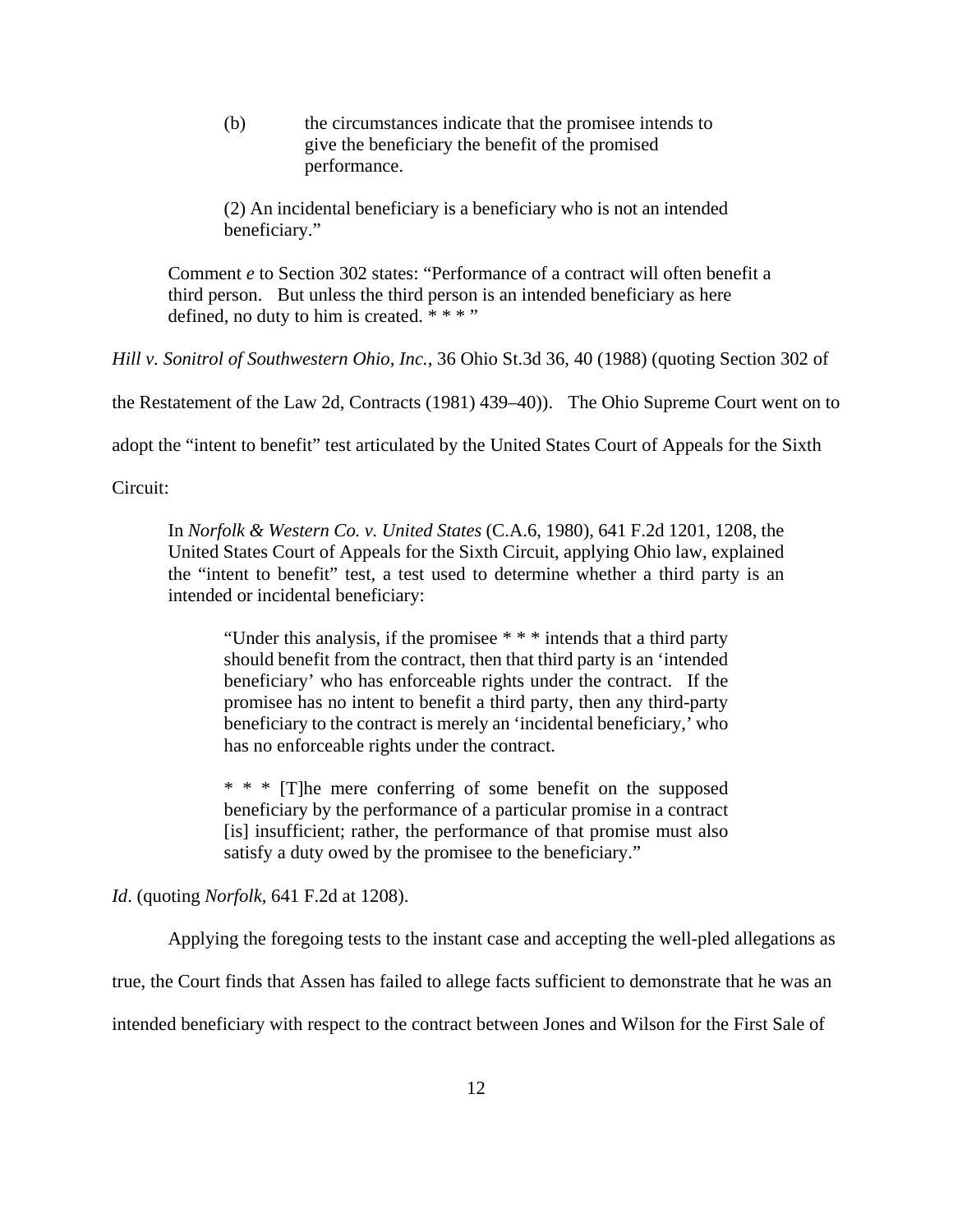(b) the circumstances indicate that the promisee intends to give the beneficiary the benefit of the promised performance.

(2) An incidental beneficiary is a beneficiary who is not an intended beneficiary."

Comment *e* to Section 302 states: "Performance of a contract will often benefit a third person. But unless the third person is an intended beneficiary as here defined, no duty to him is created. \* \* \* "

*Hill v. Sonitrol of Southwestern Ohio, Inc.*, 36 Ohio St.3d 36, 40 (1988) (quoting Section 302 of

the Restatement of the Law 2d, Contracts (1981) 439–40)). The Ohio Supreme Court went on to

adopt the "intent to benefit" test articulated by the United States Court of Appeals for the Sixth

Circuit:

In *Norfolk & Western Co. v. United States* (C.A.6, 1980), 641 F.2d 1201, 1208, the United States Court of Appeals for the Sixth Circuit, applying Ohio law, explained the "intent to benefit" test, a test used to determine whether a third party is an intended or incidental beneficiary:

"Under this analysis, if the promisee \* \* \* intends that a third party should benefit from the contract, then that third party is an 'intended beneficiary' who has enforceable rights under the contract. If the promisee has no intent to benefit a third party, then any third-party beneficiary to the contract is merely an 'incidental beneficiary,' who has no enforceable rights under the contract.

\* \* \* [T]he mere conferring of some benefit on the supposed beneficiary by the performance of a particular promise in a contract [is] insufficient; rather, the performance of that promise must also satisfy a duty owed by the promisee to the beneficiary."

*Id*. (quoting *Norfolk*, 641 F.2d at 1208).

Applying the foregoing tests to the instant case and accepting the well-pled allegations as

true, the Court finds that Assen has failed to allege facts sufficient to demonstrate that he was an

intended beneficiary with respect to the contract between Jones and Wilson for the First Sale of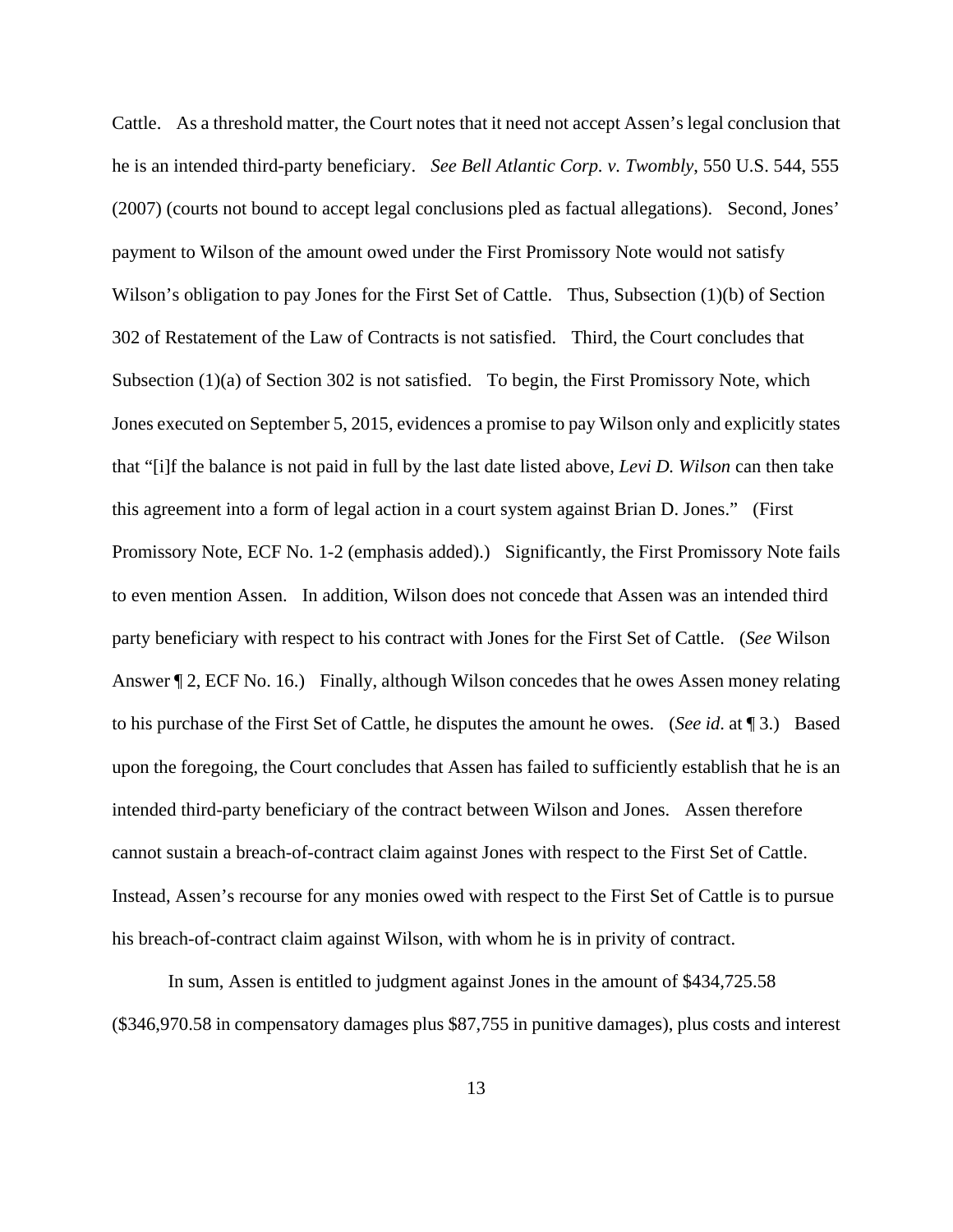Cattle. As a threshold matter, the Court notes that it need not accept Assen's legal conclusion that he is an intended third-party beneficiary. *See Bell Atlantic Corp. v. Twombly*, 550 U.S. 544, 555 (2007) (courts not bound to accept legal conclusions pled as factual allegations). Second, Jones' payment to Wilson of the amount owed under the First Promissory Note would not satisfy Wilson's obligation to pay Jones for the First Set of Cattle. Thus, Subsection (1)(b) of Section 302 of Restatement of the Law of Contracts is not satisfied. Third, the Court concludes that Subsection  $(1)(a)$  of Section 302 is not satisfied. To begin, the First Promissory Note, which Jones executed on September 5, 2015, evidences a promise to pay Wilson only and explicitly states that "[i]f the balance is not paid in full by the last date listed above, *Levi D. Wilson* can then take this agreement into a form of legal action in a court system against Brian D. Jones." (First Promissory Note, ECF No. 1-2 (emphasis added).) Significantly, the First Promissory Note fails to even mention Assen. In addition, Wilson does not concede that Assen was an intended third party beneficiary with respect to his contract with Jones for the First Set of Cattle. (*See* Wilson Answer  $\P$  2, ECF No. 16.) Finally, although Wilson concedes that he owes Assen money relating to his purchase of the First Set of Cattle, he disputes the amount he owes. (*See id*. at ¶ 3.) Based upon the foregoing, the Court concludes that Assen has failed to sufficiently establish that he is an intended third-party beneficiary of the contract between Wilson and Jones. Assen therefore cannot sustain a breach-of-contract claim against Jones with respect to the First Set of Cattle. Instead, Assen's recourse for any monies owed with respect to the First Set of Cattle is to pursue his breach-of-contract claim against Wilson, with whom he is in privity of contract.

In sum, Assen is entitled to judgment against Jones in the amount of \$434,725.58 (\$346,970.58 in compensatory damages plus \$87,755 in punitive damages), plus costs and interest